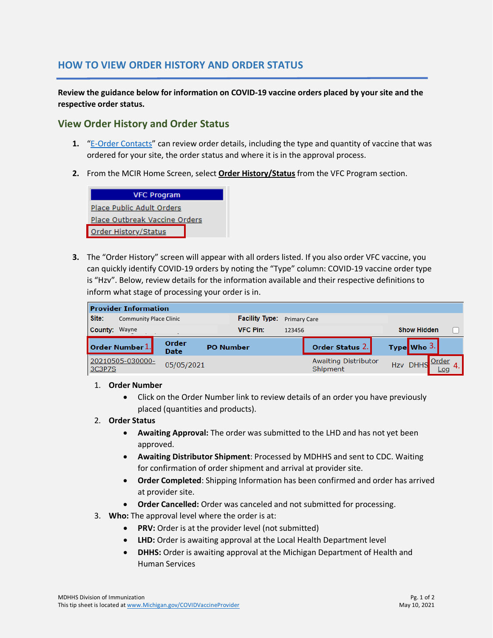# **HOW TO VIEW ORDER HISTORY AND ORDER STATUS**

**Review the guidance below for information on COVID-19 vaccine orders placed by your site and the respective order status.**

## **View Order History and Order Status**

- **1.** ["E-Order Contacts"](https://www.michigan.gov/documents/mdhhs/HowtoAddEOrderOrderContactfinal__12182020_710951_7.pdf) can review order details, including the type and quantity of vaccine that was ordered for your site, the order status and where it is in the approval process.
- **2.** From the MCIR Home Screen, select **Order History/Status** from the VFC Program section.



**3.** The "Order History" screen will appear with all orders listed. If you also order VFC vaccine, you can quickly identify COVID-19 orders by noting the "Type" column: COVID-19 vaccine order type is "Hzv". Below, review details for the information available and their respective definitions to inform what stage of processing your order is in.

| <b>Provider Information</b> |                               |                      |                       |                     |                                  |                    |             |                                   |  |  |
|-----------------------------|-------------------------------|----------------------|-----------------------|---------------------|----------------------------------|--------------------|-------------|-----------------------------------|--|--|
| Site:                       | <b>Community Place Clinic</b> |                      | <b>Facility Type:</b> | <b>Primary Care</b> |                                  |                    |             |                                   |  |  |
| <b>County: Wayne</b>        |                               |                      | <b>VFC Pin:</b>       | 123456              |                                  | <b>Show Hidden</b> |             |                                   |  |  |
|                             | Order Number 1.               | Order<br><b>Date</b> | <b>PO Number</b>      |                     | Order Status 2.                  |                    | Type Who 3. |                                   |  |  |
| 3C3P7S                      | 20210505-030000-              | 05/05/2021           |                       |                     | Awaiting Distributor<br>Shipment |                    | Hzv DHHS    | <b>O</b> rder<br>$\overline{COC}$ |  |  |

### 1. **Order Number**

• Click on the Order Number link to review details of an order you have previously placed (quantities and products).

### 2. **Order Status**

- **Awaiting Approval:** The order was submitted to the LHD and has not yet been approved.
- **Awaiting Distributor Shipment**: Processed by MDHHS and sent to CDC. Waiting for confirmation of order shipment and arrival at provider site.
- **Order Completed**: Shipping Information has been confirmed and order has arrived at provider site.
- **Order Cancelled:** Order was canceled and not submitted for processing.
- 3. **Who:** The approval level where the order is at:
	- **PRV:** Order is at the provider level (not submitted)
	- **LHD:** Order is awaiting approval at the Local Health Department level
	- **DHHS:** Order is awaiting approval at the Michigan Department of Health and Human Services